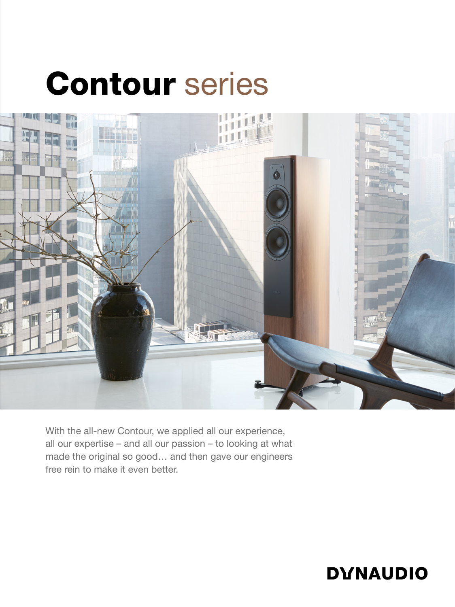## Contour series



With the all-new Contour, we applied all our experience, all our expertise – and all our passion – to looking at what made the original so good… and then gave our engineers free rein to make it even better.

## **DYNAUDIO**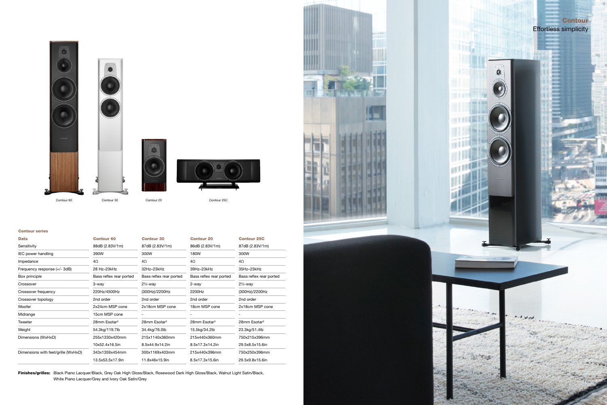## Contour series

| <b>Data</b>                         | <b>Contour 60</b>        | <b>Contour 30</b>        | <b>Contour 20</b>        | <b>Contour 25C</b>       |
|-------------------------------------|--------------------------|--------------------------|--------------------------|--------------------------|
| Sensitivity                         | 88dB (2.83V/1m)          | 87dB (2.83V/1m)          | 86dB (2.83V/1m)          | 87dB (2.83V/1m)          |
| IEC power handling                  | 390W                     | 300W                     | 180W                     | 300W                     |
| Impedance                           | $4\Omega$                | $4\Omega$                | 4Ω                       | $4\Omega$                |
| Frequency response (+/- 3dB)        | 28 Hz-23kHz              | 32Hz-23kHz               | 39Hz-23kHz               | 35Hz-23kHz               |
| Box principle                       | Bass reflex rear ported  | Bass reflex rear ported  | Bass reflex rear ported  | Bass reflex rear ported  |
| Crossover                           | 3-way                    | $2\frac{1}{2}$ -way      | 2-way                    | $2\frac{1}{2}$ -way      |
| Crossover frequency                 | 220Hz/4500Hz             | (300Hz)/2200Hz           | 2200Hz                   | (300Hz)/2200Hz           |
| Crossover topology                  | 2nd order                | 2nd order                | 2nd order                | 2nd order                |
| Woofer                              | 2x24cm MSP cone          | 2x18cm MSP cone          | 18cm MSP cone            | 2x18cm MSP cone          |
| Midrange                            | 15cm MSP cone            |                          |                          |                          |
| Tweeter                             | 28mm Esotar <sup>2</sup> | 28mm Esotar <sup>2</sup> | 28mm Esotar <sup>2</sup> | 28mm Esotar <sup>2</sup> |
| Weight                              | 54.3kg/119.7lb           | 34.4kg/76.0lb            | 15.5kg/34.2lb            | 23.3kg/51.4lb            |
| Dimensions (WxHxD)                  | 255x1330x420mm           | 215x1140x360mm           | 215x440x360mm            | 750x215x396mm            |
|                                     | 10x52.4x16.5in           | 8.5x44.9x14.2in          | 8.5x17.3x14.2in          | 29.5x8.5x15.6in          |
| Dimensions with feet/grille (WxHxD) | 343x1359x454mm           | 300x1169x403mm           | 215x440x396mm            | 750x250x396mm            |
|                                     | 13.5x53.5x17.9in         | 11.8x46x15.9in           | 8.5x17.3x15.6in          | 29.5x9.8x15.6in          |

Finishes/grilles: Black Piano Lacquer/Black, Grey Oak High Gloss/Black, Rosewood Dark High Gloss/Black, Walnut Light Satin/Black, White Piano Lacquer/Grey and Ivory Oak Satin/Grey











Contour 60 Contour 30 Contour 20 Contour 25C